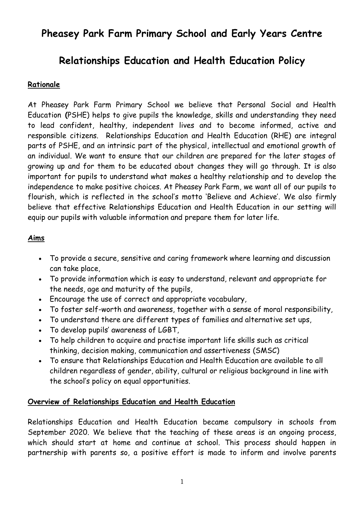# **Pheasey Park Farm Primary School and Early Years Centre**

# **Relationships Education and Health Education Policy**

# **Rationale**

At Pheasey Park Farm Primary School we believe that Personal Social and Health Education **(**PSHE) helps to give pupils the knowledge, skills and understanding they need to lead confident, healthy, independent lives and to become informed, active and responsible citizens. Relationships Education and Health Education (RHE) are integral parts of PSHE, and an intrinsic part of the physical, intellectual and emotional growth of an individual. We want to ensure that our children are prepared for the later stages of growing up and for them to be educated about changes they will go through. It is also important for pupils to understand what makes a healthy relationship and to develop the independence to make positive choices. At Pheasey Park Farm, we want all of our pupils to flourish, which is reflected in the school's motto 'Believe and Achieve'. We also firmly believe that effective Relationships Education and Health Education in our setting will equip our pupils with valuable information and prepare them for later life.

## **Aims**

- To provide a secure, sensitive and caring framework where learning and discussion can take place,
- To provide information which is easy to understand, relevant and appropriate for the needs, age and maturity of the pupils,
- Encourage the use of correct and appropriate vocabulary,
- To foster self-worth and awareness, together with a sense of moral responsibility,
- To understand there are different types of families and alternative set ups,
- To develop pupils' awareness of LGBT,
- To help children to acquire and practise important life skills such as critical thinking, decision making, communication and assertiveness (SMSC)
- To ensure that Relationships Education and Health Education are available to all children regardless of gender, ability, cultural or religious background in line with the school's policy on equal opportunities.

#### **Overview of Relationships Education and Health Education**

Relationships Education and Health Education became compulsory in schools from September 2020. We believe that the teaching of these areas is an ongoing process, which should start at home and continue at school. This process should happen in partnership with parents so, a positive effort is made to inform and involve parents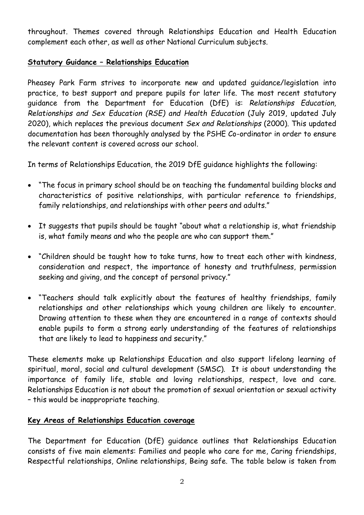throughout. Themes covered through Relationships Education and Health Education complement each other, as well as other National Curriculum subjects.

## **Statutory Guidance – Relationships Education**

Pheasey Park Farm strives to incorporate new and updated guidance/legislation into practice, to best support and prepare pupils for later life. The most recent statutory guidance from the Department for Education (DfE) is: *Relationships Education, Relationships and Sex Education (RSE) and Health Education* (July 2019, updated July 2020), which replaces the previous document *Sex and Relationships* (2000). This updated documentation has been thoroughly analysed by the PSHE Co-ordinator in order to ensure the relevant content is covered across our school.

In terms of Relationships Education, the 2019 DfE guidance highlights the following:

- "The focus in primary school should be on teaching the fundamental building blocks and characteristics of positive relationships, with particular reference to friendships, family relationships, and relationships with other peers and adults."
- It suggests that pupils should be taught "about what a relationship is, what friendship is, what family means and who the people are who can support them."
- "Children should be taught how to take turns, how to treat each other with kindness, consideration and respect, the importance of honesty and truthfulness, permission seeking and giving, and the concept of personal privacy."
- "Teachers should talk explicitly about the features of healthy friendships, family relationships and other relationships which young children are likely to encounter. Drawing attention to these when they are encountered in a range of contexts should enable pupils to form a strong early understanding of the features of relationships that are likely to lead to happiness and security."

These elements make up Relationships Education and also support lifelong learning of spiritual, moral, social and cultural development (SMSC). It is about understanding the importance of family life, stable and loving relationships, respect, love and care. Relationships Education is not about the promotion of sexual orientation or sexual activity – this would be inappropriate teaching.

## **Key Areas of Relationships Education coverage**

The Department for Education (DfE) guidance outlines that Relationships Education consists of five main elements: Families and people who care for me, Caring friendships, Respectful relationships, Online relationships, Being safe. The table below is taken from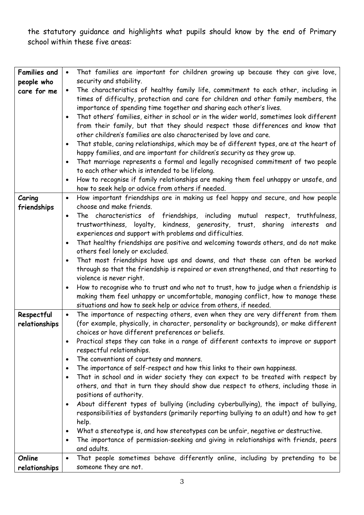the statutory guidance and highlights what pupils should know by the end of Primary school within these five areas:

| <b>Families and</b> | That families are important for children growing up because they can give love,<br>$\bullet$                                                           |
|---------------------|--------------------------------------------------------------------------------------------------------------------------------------------------------|
| people who          | security and stability.                                                                                                                                |
| care for me         | The characteristics of healthy family life, commitment to each other, including in<br>$\bullet$                                                        |
|                     | times of difficulty, protection and care for children and other family members, the                                                                    |
|                     | importance of spending time together and sharing each other's lives.                                                                                   |
|                     | That others' families, either in school or in the wider world, sometimes look different<br>$\bullet$                                                   |
|                     | from their family, but that they should respect those differences and know that                                                                        |
|                     | other children's families are also characterised by love and care.                                                                                     |
|                     | That stable, caring relationships, which may be of different types, are at the heart of<br>$\bullet$                                                   |
|                     | happy families, and are important for children's security as they grow up.                                                                             |
|                     | That marriage represents a formal and legally recognised commitment of two people<br>$\bullet$                                                         |
|                     | to each other which is intended to be lifelong.                                                                                                        |
|                     | How to recognise if family relationships are making them feel unhappy or unsafe, and<br>$\bullet$                                                      |
|                     | how to seek help or advice from others if needed.                                                                                                      |
| Caring              | How important friendships are in making us feel happy and secure, and how people<br>$\bullet$                                                          |
| friendships         | choose and make friends.                                                                                                                               |
|                     | The characteristics of friendships, including mutual respect, truthfulness,<br>$\bullet$                                                               |
|                     | trustworthiness, loyalty, kindness, generosity, trust, sharing interests and                                                                           |
|                     | experiences and support with problems and difficulties.                                                                                                |
|                     | That healthy friendships are positive and welcoming towards others, and do not make<br>$\bullet$                                                       |
|                     | others feel lonely or excluded.                                                                                                                        |
|                     | That most friendships have ups and downs, and that these can often be worked<br>$\bullet$                                                              |
|                     | through so that the friendship is repaired or even strengthened, and that resorting to                                                                 |
|                     | violence is never right.                                                                                                                               |
|                     | How to recognise who to trust and who not to trust, how to judge when a friendship is<br>$\bullet$                                                     |
|                     | making them feel unhappy or uncomfortable, managing conflict, how to manage these<br>situations and how to seek help or advice from others, if needed. |
| Respectful          | The importance of respecting others, even when they are very different from them<br>$\bullet$                                                          |
| relationships       | (for example, physically, in character, personality or backgrounds), or make different                                                                 |
|                     | choices or have different preferences or beliefs.                                                                                                      |
|                     | Practical steps they can take in a range of different contexts to improve or support                                                                   |
|                     | respectful relationships.                                                                                                                              |
|                     | The conventions of courtesy and manners.<br>$\bullet$                                                                                                  |
|                     | The importance of self-respect and how this links to their own happiness.<br>$\bullet$                                                                 |
|                     | That in school and in wider society they can expect to be treated with respect by<br>$\bullet$                                                         |
|                     | others, and that in turn they should show due respect to others, including those in                                                                    |
|                     | positions of authority.                                                                                                                                |
|                     | About different types of bullying (including cyberbullying), the impact of bullying,<br>$\bullet$                                                      |
|                     | responsibilities of bystanders (primarily reporting bullying to an adult) and how to get                                                               |
|                     | help.                                                                                                                                                  |
|                     | What a stereotype is, and how stereotypes can be unfair, negative or destructive.<br>$\bullet$                                                         |
|                     | The importance of permission-seeking and giving in relationships with friends, peers<br>$\bullet$                                                      |
|                     | and adults.                                                                                                                                            |
| Online              | That people sometimes behave differently online, including by pretending to be<br>$\bullet$                                                            |
| relationships       | someone they are not.                                                                                                                                  |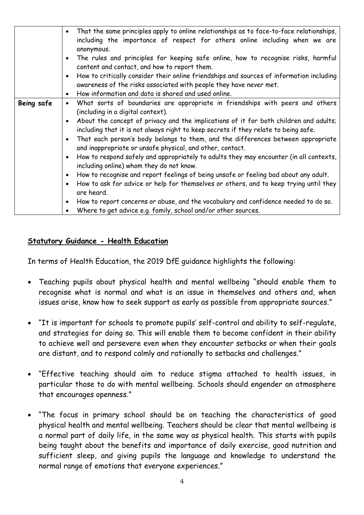|                   | That the same principles apply to online relationships as to face-to-face relationships,<br>$\bullet$<br>including the importance of respect for others online including when we are<br>anonymous.<br>The rules and principles for keeping safe online, how to recognise risks, harmful |
|-------------------|-----------------------------------------------------------------------------------------------------------------------------------------------------------------------------------------------------------------------------------------------------------------------------------------|
|                   | content and contact, and how to report them.                                                                                                                                                                                                                                            |
|                   | How to critically consider their online friendships and sources of information including<br>$\bullet$<br>awareness of the risks associated with people they have never met.                                                                                                             |
|                   | How information and data is shared and used online.<br>$\bullet$                                                                                                                                                                                                                        |
| <b>Being safe</b> | What sorts of boundaries are appropriate in friendships with peers and others<br>$\bullet$<br>(including in a digital context).                                                                                                                                                         |
|                   | About the concept of privacy and the implications of it for both children and adults;<br>$\bullet$<br>including that it is not always right to keep secrets if they relate to being safe.                                                                                               |
|                   | That each person's body belongs to them, and the differences between appropriate<br>$\bullet$<br>and inappropriate or unsafe physical, and other, contact.                                                                                                                              |
|                   | How to respond safely and appropriately to adults they may encounter (in all contexts,<br>$\bullet$<br>including online) whom they do not know.                                                                                                                                         |
|                   | How to recognise and report feelings of being unsafe or feeling bad about any adult.<br>$\bullet$                                                                                                                                                                                       |
|                   | How to ask for advice or help for themselves or others, and to keep trying until they<br>$\bullet$<br>are heard.                                                                                                                                                                        |
|                   | How to report concerns or abuse, and the vocabulary and confidence needed to do so.<br>$\bullet$                                                                                                                                                                                        |
|                   | Where to get advice e.g. family, school and/or other sources.                                                                                                                                                                                                                           |

#### **Statutory Guidance - Health Education**

In terms of Health Education, the 2019 DfE guidance highlights the following:

- Teaching pupils about physical health and mental wellbeing "should enable them to recognise what is normal and what is an issue in themselves and others and, when issues arise, know how to seek support as early as possible from appropriate sources."
- "It is important for schools to promote pupils' self-control and ability to self-regulate, and strategies for doing so. This will enable them to become confident in their ability to achieve well and persevere even when they encounter setbacks or when their goals are distant, and to respond calmly and rationally to setbacks and challenges."
- "Effective teaching should aim to reduce stigma attached to health issues, in particular those to do with mental wellbeing. Schools should engender an atmosphere that encourages openness."
- "The focus in primary school should be on teaching the characteristics of good physical health and mental wellbeing. Teachers should be clear that mental wellbeing is a normal part of daily life, in the same way as physical health. This starts with pupils being taught about the benefits and importance of daily exercise, good nutrition and sufficient sleep, and giving pupils the language and knowledge to understand the normal range of emotions that everyone experiences."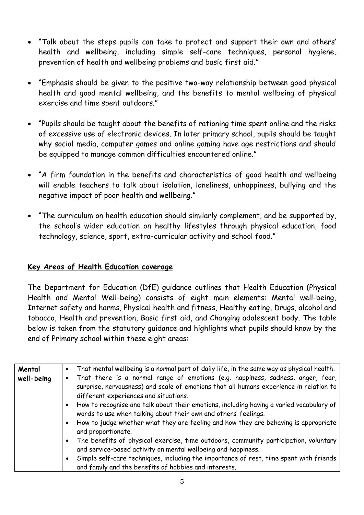- "Talk about the steps pupils can take to protect and support their own and others' health and wellbeing, including simple self-care techniques, personal hygiene, prevention of health and wellbeing problems and basic first aid."
- "Emphasis should be given to the positive two-way relationship between good physical health and good mental wellbeing, and the benefits to mental wellbeing of physical exercise and time spent outdoors."
- "Pupils should be taught about the benefits of rationing time spent online and the risks of excessive use of electronic devices. In later primary school, pupils should be taught why social media, computer games and online gaming have age restrictions and should be equipped to manage common difficulties encountered online."
- <sup>"</sup>A firm foundation in the benefits and characteristics of good health and wellbeing will enable teachers to talk about isolation, loneliness, unhappiness, bullying and the negative impact of poor health and wellbeing."
- "The curriculum on health education should similarly complement, and be supported by, the school's wider education on healthy lifestyles through physical education, food technology, science, sport, extra-curricular activity and school food."

## **Key Areas of Health Education coverage**

The Department for Education (DfE) guidance outlines that Health Education (Physical Health and Mental Well-being) consists of eight main elements: Mental well-being, Internet safety and harms, Physical health and fitness, Healthy eating, Drugs, alcohol and tobacco, Health and prevention, Basic first aid, and Changing adolescent body. The table below is taken from the statutory guidance and highlights what pupils should know by the end of Primary school within these eight areas:

| Mental     | That mental wellbeing is a normal part of daily life, in the same way as physical health.<br>$\bullet$                                                                                                             |
|------------|--------------------------------------------------------------------------------------------------------------------------------------------------------------------------------------------------------------------|
| well-being | That there is a normal range of emotions (e.g. happiness, sadness, anger, fear,<br>surprise, nervousness) and scale of emotions that all humans experience in relation to<br>different experiences and situations. |
|            | • How to recognise and talk about their emotions, including having a varied vocabulary of<br>words to use when talking about their own and others' feelings.                                                       |
|            | How to judge whether what they are feeling and how they are behaving is appropriate<br>$\bullet$<br>and proportionate.                                                                                             |
|            | The benefits of physical exercise, time outdoors, community participation, voluntary<br>$\bullet$<br>and service-based activity on mental wellbeing and happiness.                                                 |
|            | Simple self-care techniques, including the importance of rest, time spent with friends<br>٠<br>and family and the benefits of hobbies and interests.                                                               |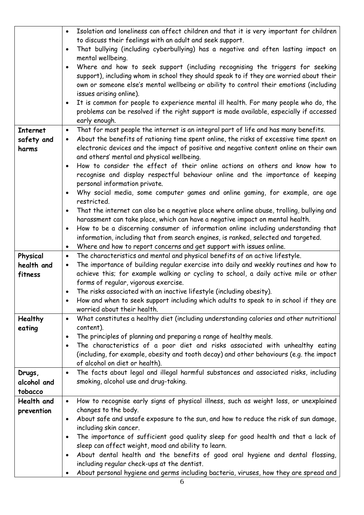|                        | $\bullet$ | Isolation and loneliness can affect children and that it is very important for children                                              |
|------------------------|-----------|--------------------------------------------------------------------------------------------------------------------------------------|
|                        |           | to discuss their feelings with an adult and seek support.                                                                            |
|                        | $\bullet$ | That bullying (including cyberbullying) has a negative and often lasting impact on                                                   |
|                        |           | mental wellbeing.                                                                                                                    |
|                        | $\bullet$ | Where and how to seek support (including recognising the triggers for seeking                                                        |
|                        |           | support), including whom in school they should speak to if they are worried about their                                              |
|                        |           | own or someone else's mental wellbeing or ability to control their emotions (including                                               |
|                        |           | issues arising online).                                                                                                              |
|                        | $\bullet$ | It is common for people to experience mental ill health. For many people who do, the                                                 |
|                        |           | problems can be resolved if the right support is made available, especially if accessed                                              |
|                        |           | early enough.                                                                                                                        |
| <b>Internet</b>        | $\bullet$ | That for most people the internet is an integral part of life and has many benefits.                                                 |
| safety and             | $\bullet$ | About the benefits of rationing time spent online, the risks of excessive time spent on                                              |
|                        |           | electronic devices and the impact of positive and negative content online on their own                                               |
| harms                  |           |                                                                                                                                      |
|                        |           | and others' mental and physical wellbeing.                                                                                           |
|                        | $\bullet$ | How to consider the effect of their online actions on others and know how to                                                         |
|                        |           | recognise and display respectful behaviour online and the importance of keeping                                                      |
|                        |           | personal information private.                                                                                                        |
|                        | $\bullet$ | Why social media, some computer games and online gaming, for example, are age                                                        |
|                        |           | restricted.                                                                                                                          |
|                        | $\bullet$ | That the internet can also be a negative place where online abuse, trolling, bullying and                                            |
|                        |           | harassment can take place, which can have a negative impact on mental health.                                                        |
|                        | $\bullet$ | How to be a discerning consumer of information online including understanding that                                                   |
|                        |           | information, including that from search engines, is ranked, selected and targeted.                                                   |
|                        | $\bullet$ | Where and how to report concerns and get support with issues online.                                                                 |
|                        | $\bullet$ |                                                                                                                                      |
|                        |           | The characteristics and mental and physical benefits of an active lifestyle.                                                         |
| Physical<br>health and | $\bullet$ | The importance of building regular exercise into daily and weekly routines and how to                                                |
|                        |           |                                                                                                                                      |
| fitness                |           | achieve this; for example walking or cycling to school, a daily active mile or other                                                 |
|                        |           | forms of regular, vigorous exercise.                                                                                                 |
|                        |           | The risks associated with an inactive lifestyle (including obesity).                                                                 |
|                        |           | How and when to seek support including which adults to speak to in school if they are                                                |
|                        | $\bullet$ | worried about their health.                                                                                                          |
| <b>Healthy</b>         |           | What constitutes a healthy diet (including understanding calories and other nutritional                                              |
| eating                 | $\bullet$ | content).                                                                                                                            |
|                        | $\bullet$ | The principles of planning and preparing a range of healthy meals.                                                                   |
|                        |           | The characteristics of a poor diet and risks associated with unhealthy eating                                                        |
|                        |           | (including, for example, obesity and tooth decay) and other behaviours (e.g. the impact                                              |
|                        | $\bullet$ | of alcohol on diet or health).                                                                                                       |
| Drugs,                 |           | The facts about legal and illegal harmful substances and associated risks, including                                                 |
| alcohol and            |           | smoking, alcohol use and drug-taking.                                                                                                |
| tobacco                |           |                                                                                                                                      |
| Health and             | $\bullet$ | How to recognise early signs of physical illness, such as weight loss, or unexplained                                                |
| prevention             |           | changes to the body.                                                                                                                 |
|                        | $\bullet$ | About safe and unsafe exposure to the sun, and how to reduce the risk of sun damage,                                                 |
|                        |           | including skin cancer.                                                                                                               |
|                        | $\bullet$ | The importance of sufficient good quality sleep for good health and that a lack of                                                   |
|                        |           | sleep can affect weight, mood and ability to learn.                                                                                  |
|                        | $\bullet$ | About dental health and the benefits of good oral hygiene and dental flossing,                                                       |
|                        |           | including regular check-ups at the dentist.<br>About personal hygiene and germs including bacteria, viruses, how they are spread and |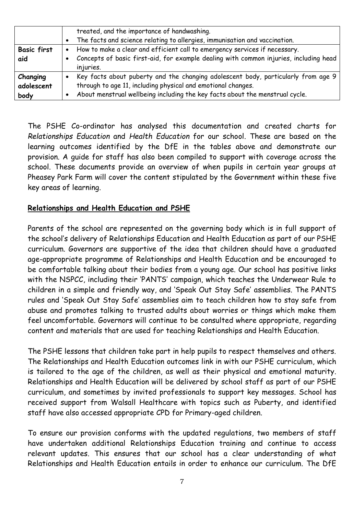|                                | treated, and the importance of handwashing.<br>The facts and science relating to allergies, immunisation and vaccination.<br>$\bullet$                                                                                            |
|--------------------------------|-----------------------------------------------------------------------------------------------------------------------------------------------------------------------------------------------------------------------------------|
| <b>Basic first</b><br>aid      | How to make a clear and efficient call to emergency services if necessary.<br>$\bullet$<br>Concepts of basic first-aid, for example dealing with common injuries, including head<br>injuries.                                     |
| Changing<br>adolescent<br>body | Key facts about puberty and the changing adolescent body, particularly from age 9<br>through to age 11, including physical and emotional changes.<br>About menstrual wellbeing including the key facts about the menstrual cycle. |

The PSHE Co-ordinator has analysed this documentation and created charts for *Relationships Education* and *Health Education* for our school. These are based on the learning outcomes identified by the DfE in the tables above and demonstrate our provision. A guide for staff has also been compiled to support with coverage across the school. These documents provide an overview of when pupils in certain year groups at Pheasey Park Farm will cover the content stipulated by the Government within these five key areas of learning.

## **Relationships and Health Education and PSHE**

Parents of the school are represented on the governing body which is in full support of the school's delivery of Relationships Education and Health Education as part of our PSHE curriculum. Governors are supportive of the idea that children should have a graduated age-appropriate programme of Relationships and Health Education and be encouraged to be comfortable talking about their bodies from a young age. Our school has positive links with the NSPCC, including their 'PANTS' campaign, which teaches the Underwear Rule to children in a simple and friendly way, and 'Speak Out Stay Safe' assemblies. The PANTS rules and 'Speak Out Stay Safe' assemblies aim to teach children how to stay safe from abuse and promotes talking to trusted adults about worries or things which make them feel uncomfortable. Governors will continue to be consulted where appropriate, regarding content and materials that are used for teaching Relationships and Health Education.

The PSHE lessons that children take part in help pupils to respect themselves and others. The Relationships and Health Education outcomes link in with our PSHE curriculum, which is tailored to the age of the children, as well as their physical and emotional maturity. Relationships and Health Education will be delivered by school staff as part of our PSHE curriculum, and sometimes by invited professionals to support key messages. School has received support from Walsall Healthcare with topics such as Puberty, and identified staff have also accessed appropriate CPD for Primary-aged children.

To ensure our provision conforms with the updated regulations, two members of staff have undertaken additional Relationships Education training and continue to access relevant updates. This ensures that our school has a clear understanding of what Relationships and Health Education entails in order to enhance our curriculum. The DfE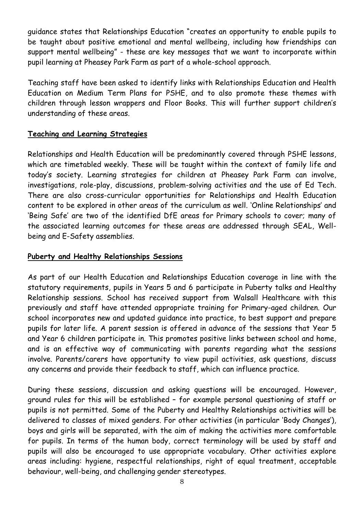guidance states that Relationships Education "creates an opportunity to enable pupils to be taught about positive emotional and mental wellbeing, including how friendships can support mental wellbeing" - these are key messages that we want to incorporate within pupil learning at Pheasey Park Farm as part of a whole-school approach.

Teaching staff have been asked to identify links with Relationships Education and Health Education on Medium Term Plans for PSHE, and to also promote these themes with children through lesson wrappers and Floor Books. This will further support children's understanding of these areas.

# **Teaching and Learning Strategies**

Relationships and Health Education will be predominantly covered through PSHE lessons, which are timetabled weekly. These will be taught within the context of family life and today's society. Learning strategies for children at Pheasey Park Farm can involve, investigations, role-play, discussions, problem-solving activities and the use of Ed Tech. There are also cross-curricular opportunities for Relationships and Health Education content to be explored in other areas of the curriculum as well. 'Online Relationships' and 'Being Safe' are two of the identified DfE areas for Primary schools to cover; many of the associated learning outcomes for these areas are addressed through SEAL, Wellbeing and E-Safety assemblies.

## **Puberty and Healthy Relationships Sessions**

As part of our Health Education and Relationships Education coverage in line with the statutory requirements, pupils in Years 5 and 6 participate in Puberty talks and Healthy Relationship sessions. School has received support from Walsall Healthcare with this previously and staff have attended appropriate training for Primary-aged children. Our school incorporates new and updated guidance into practice, to best support and prepare pupils for later life. A parent session is offered in advance of the sessions that Year 5 and Year 6 children participate in. This promotes positive links between school and home, and is an effective way of communicating with parents regarding what the sessions involve. Parents/carers have opportunity to view pupil activities, ask questions, discuss any concerns and provide their feedback to staff, which can influence practice.

During these sessions, discussion and asking questions will be encouraged. However, ground rules for this will be established – for example personal questioning of staff or pupils is not permitted. Some of the Puberty and Healthy Relationships activities will be delivered to classes of mixed genders. For other activities (in particular 'Body Changes'), boys and girls will be separated, with the aim of making the activities more comfortable for pupils. In terms of the human body, correct terminology will be used by staff and pupils will also be encouraged to use appropriate vocabulary. Other activities explore areas including: hygiene, respectful relationships, right of equal treatment, acceptable behaviour, well-being, and challenging gender stereotypes.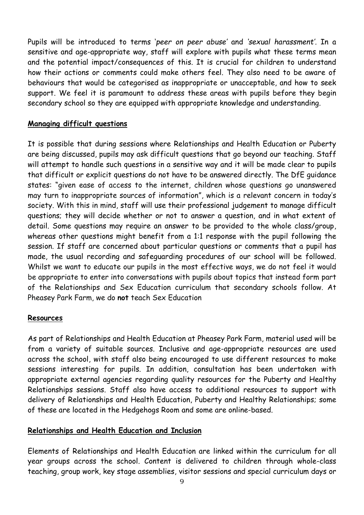Pupils will be introduced to terms '*peer on peer abuse'* and *'sexual harassment'.* In a sensitive and age-appropriate way, staff will explore with pupils what these terms mean and the potential impact/consequences of this. It is crucial for children to understand how their actions or comments could make others feel. They also need to be aware of behaviours that would be categorised as inappropriate or unacceptable, and how to seek support. We feel it is paramount to address these areas with pupils before they begin secondary school so they are equipped with appropriate knowledge and understanding.

#### **Managing difficult questions**

It is possible that during sessions where Relationships and Health Education or Puberty are being discussed, pupils may ask difficult questions that go beyond our teaching. Staff will attempt to handle such questions in a sensitive way and it will be made clear to pupils that difficult or explicit questions do not have to be answered directly. The DfE guidance states: "given ease of access to the internet, children whose questions go unanswered may turn to inappropriate sources of information", which is a relevant concern in today's society. With this in mind, staff will use their professional judgement to manage difficult questions; they will decide whether or not to answer a question, and in what extent of detail. Some questions may require an answer to be provided to the whole class/group, whereas other questions might benefit from a 1:1 response with the pupil following the session. If staff are concerned about particular questions or comments that a pupil has made, the usual recording and safeguarding procedures of our school will be followed. Whilst we want to educate our pupils in the most effective ways, we do not feel it would be appropriate to enter into conversations with pupils about topics that instead form part of the Relationships and Sex Education curriculum that secondary schools follow. At Pheasey Park Farm, we do **not** teach Sex Education

#### **Resources**

As part of Relationships and Health Education at Pheasey Park Farm, material used will be from a variety of suitable sources. Inclusive and age-appropriate resources are used across the school, with staff also being encouraged to use different resources to make sessions interesting for pupils. In addition, consultation has been undertaken with appropriate external agencies regarding quality resources for the Puberty and Healthy Relationships sessions. Staff also have access to additional resources to support with delivery of Relationships and Health Education, Puberty and Healthy Relationships; some of these are located in the Hedgehogs Room and some are online-based.

#### **Relationships and Health Education and Inclusion**

Elements of Relationships and Health Education are linked within the curriculum for all year groups across the school. Content is delivered to children through whole-class teaching, group work, key stage assemblies, visitor sessions and special curriculum days or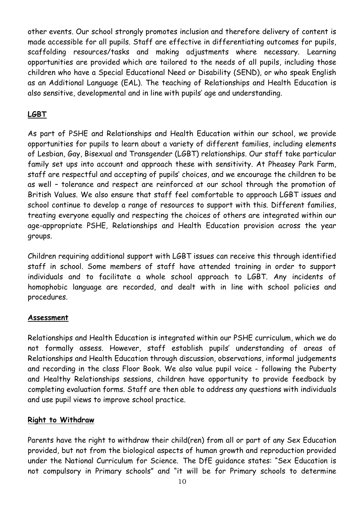other events. Our school strongly promotes inclusion and therefore delivery of content is made accessible for all pupils. Staff are effective in differentiating outcomes for pupils, scaffolding resources/tasks and making adjustments where necessary. Learning opportunities are provided which are tailored to the needs of all pupils, including those children who have a Special Educational Need or Disability (SEND), or who speak English as an Additional Language (EAL). The teaching of Relationships and Health Education is also sensitive, developmental and in line with pupils' age and understanding.

# **LGBT**

As part of PSHE and Relationships and Health Education within our school, we provide opportunities for pupils to learn about a variety of different families, including elements of Lesbian, Gay, Bisexual and Transgender (LGBT) relationships. Our staff take particular family set ups into account and approach these with sensitivity. At Pheasey Park Farm, staff are respectful and accepting of pupils' choices, and we encourage the children to be as well – tolerance and respect are reinforced at our school through the promotion of British Values. We also ensure that staff feel comfortable to approach LGBT issues and school continue to develop a range of resources to support with this. Different families, treating everyone equally and respecting the choices of others are integrated within our age-appropriate PSHE, Relationships and Health Education provision across the year groups.

Children requiring additional support with LGBT issues can receive this through identified staff in school. Some members of staff have attended training in order to support individuals and to facilitate a whole school approach to LGBT. Any incidents of homophobic language are recorded, and dealt with in line with school policies and procedures.

## **Assessment**

Relationships and Health Education is integrated within our PSHE curriculum, which we do not formally assess. However, staff establish pupils' understanding of areas of Relationships and Health Education through discussion, observations, informal judgements and recording in the class Floor Book. We also value pupil voice - following the Puberty and Healthy Relationships sessions, children have opportunity to provide feedback by completing evaluation forms. Staff are then able to address any questions with individuals and use pupil views to improve school practice.

## **Right to Withdraw**

Parents have the right to withdraw their child(ren) from all or part of any Sex Education provided, but not from the biological aspects of human growth and reproduction provided under the National Curriculum for Science. The DfE guidance states: "Sex Education is not compulsory in Primary schools" and "it will be for Primary schools to determine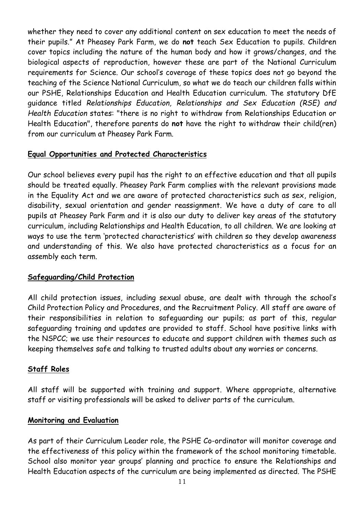whether they need to cover any additional content on sex education to meet the needs of their pupils." At Pheasey Park Farm, we do **not** teach Sex Education to pupils. Children cover topics including the nature of the human body and how it grows/changes, and the biological aspects of reproduction, however these are part of the National Curriculum requirements for Science. Our school's coverage of these topics does not go beyond the teaching of the Science National Curriculum, so what we do teach our children falls within our PSHE, Relationships Education and Health Education curriculum. The statutory DfE guidance titled *Relationships Education, Relationships and Sex Education (RSE) and Health Education* states: "there is no right to withdraw from Relationships Education or Health Education", therefore parents do **not** have the right to withdraw their child(ren) from our curriculum at Pheasey Park Farm.

## **Equal Opportunities and Protected Characteristics**

Our school believes every pupil has the right to an effective education and that all pupils should be treated equally. Pheasey Park Farm complies with the relevant provisions made in the Equality Act and we are aware of protected characteristics such as sex, religion, disability, sexual orientation and gender reassignment. We have a duty of care to all pupils at Pheasey Park Farm and it is also our duty to deliver key areas of the statutory curriculum, including Relationships and Health Education, to all children. We are looking at ways to use the term 'protected characteristics' with children so they develop awareness and understanding of this. We also have protected characteristics as a focus for an assembly each term.

## **Safeguarding/Child Protection**

All child protection issues, including sexual abuse, are dealt with through the school's Child Protection Policy and Procedures, and the Recruitment Policy. All staff are aware of their responsibilities in relation to safeguarding our pupils; as part of this, regular safeguarding training and updates are provided to staff. School have positive links with the NSPCC; we use their resources to educate and support children with themes such as keeping themselves safe and talking to trusted adults about any worries or concerns.

## **Staff Roles**

All staff will be supported with training and support. Where appropriate, alternative staff or visiting professionals will be asked to deliver parts of the curriculum.

#### **Monitoring and Evaluation**

As part of their Curriculum Leader role, the PSHE Co-ordinator will monitor coverage and the effectiveness of this policy within the framework of the school monitoring timetable. School also monitor year groups' planning and practice to ensure the Relationships and Health Education aspects of the curriculum are being implemented as directed. The PSHE